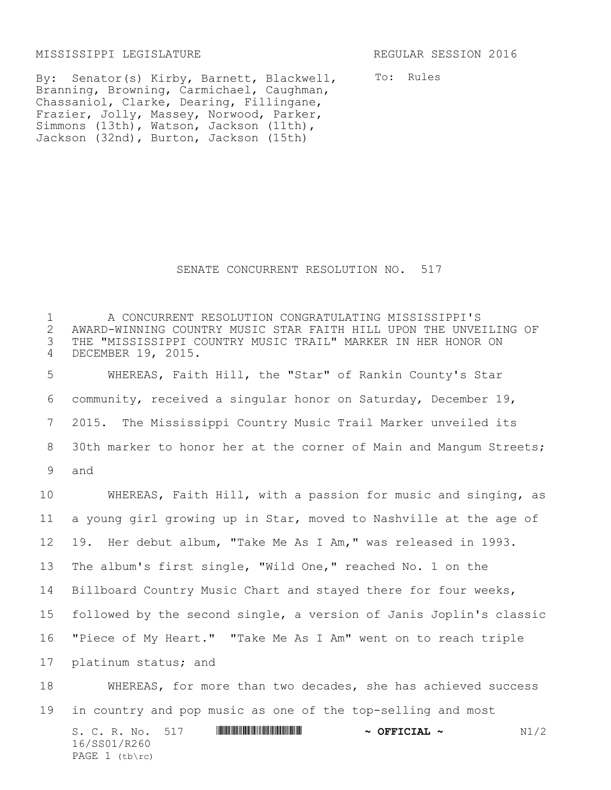MISSISSIPPI LEGISLATURE REGULAR SESSION 2016

To: Rules

By: Senator(s) Kirby, Barnett, Blackwell, Branning, Browning, Carmichael, Caughman, Chassaniol, Clarke, Dearing, Fillingane, Frazier, Jolly, Massey, Norwood, Parker, Simmons (13th), Watson, Jackson (11th), Jackson (32nd), Burton, Jackson (15th)

## SENATE CONCURRENT RESOLUTION NO. 517

1 A CONCURRENT RESOLUTION CONGRATULATING MISSISSIPPI'S 2 AWARD-WINNING COUNTRY MUSIC STAR FAITH HILL UPON THE UNVEILING OF<br>3 THE "MISSISSIPPI COUNTRY MUSIC TRAIL" MARKER IN HER HONOR ON THE "MISSISSIPPI COUNTRY MUSIC TRAIL" MARKER IN HER HONOR ON 4 DECEMBER 19, 2015. 5 WHEREAS, Faith Hill, the "Star" of Rankin County's Star

6 community, received a singular honor on Saturday, December 19, 7 2015. The Mississippi Country Music Trail Marker unveiled its 8 30th marker to honor her at the corner of Main and Mangum Streets; 9 and

 WHEREAS, Faith Hill, with a passion for music and singing, as a young girl growing up in Star, moved to Nashville at the age of 19. Her debut album, "Take Me As I Am," was released in 1993. The album's first single, "Wild One," reached No. 1 on the Billboard Country Music Chart and stayed there for four weeks, followed by the second single, a version of Janis Joplin's classic "Piece of My Heart." "Take Me As I Am" went on to reach triple platinum status; and

18 WHEREAS, for more than two decades, she has achieved success 19 in country and pop music as one of the top-selling and most

S. C. R. No. 517 **WILLIAM SEPTICIAL ~ N1/2** 16/SS01/R260 PAGE  $1$  (tb\rc)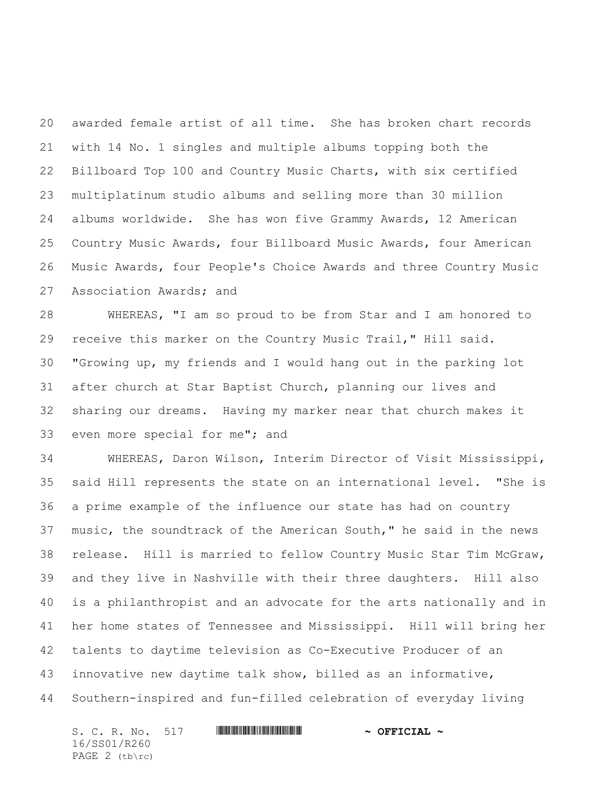awarded female artist of all time. She has broken chart records with 14 No. 1 singles and multiple albums topping both the Billboard Top 100 and Country Music Charts, with six certified multiplatinum studio albums and selling more than 30 million albums worldwide. She has won five Grammy Awards, 12 American Country Music Awards, four Billboard Music Awards, four American Music Awards, four People's Choice Awards and three Country Music Association Awards; and

 WHEREAS, "I am so proud to be from Star and I am honored to receive this marker on the Country Music Trail," Hill said. "Growing up, my friends and I would hang out in the parking lot after church at Star Baptist Church, planning our lives and sharing our dreams. Having my marker near that church makes it even more special for me"; and

 WHEREAS, Daron Wilson, Interim Director of Visit Mississippi, said Hill represents the state on an international level. "She is a prime example of the influence our state has had on country music, the soundtrack of the American South," he said in the news release. Hill is married to fellow Country Music Star Tim McGraw, and they live in Nashville with their three daughters. Hill also is a philanthropist and an advocate for the arts nationally and in her home states of Tennessee and Mississippi. Hill will bring her talents to daytime television as Co-Executive Producer of an innovative new daytime talk show, billed as an informative, Southern-inspired and fun-filled celebration of everyday living

S. C. R. No. 517 **WILL AND A SEPT AND A OFFICIAL ~** 16/SS01/R260 PAGE 2 (tb\rc)